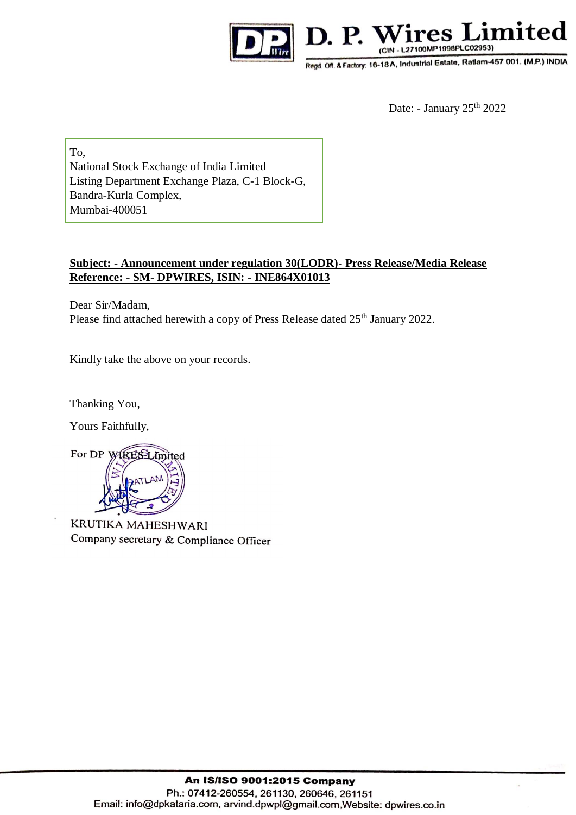



Regd. Off. & Factory: 16-18A, Industrial Estate, Ratlam-457 001. (M.P.) INDIA

Date: - January 25<sup>th</sup> 2022

To, National Stock Exchange of India Limited Listing Department Exchange Plaza, C-1 Block-G, Bandra-Kurla Complex, Mumbai-400051

## **Subject: - Announcement under regulation 30(LODR)- Press Release/Media Release Reference: - SM- DPWIRES, ISIN: - INE864X01013**

Dear Sir/Madam, Please find attached herewith a copy of Press Release dated 25<sup>th</sup> January 2022.

Kindly take the above on your records.

Thanking You,

Yours Faithfully,



KRUTIKA MAHESHWARI Company secretary & Compliance Officer